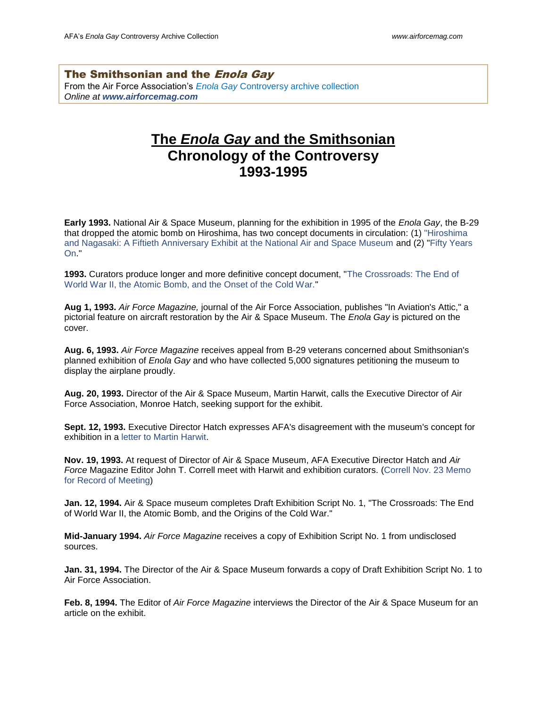The Smithsonian and the *Enola Gay* From the Air Force Association's *Enola Gay* [Controversy archive collection](http://www.airforcemag.com/MagazineArchive/EnolaGayArchive) *Online at [www.airforcemag.com](http://www.airforcemag.com/)*

## **The** *Enola Gay* **and the Smithsonian Chronology of the Controversy 1993-1995**

**Early 1993.** National Air & Space Museum, planning for the exhibition in 1995 of the *Enola Gay*, the B-29 that dropped the atomic bomb on Hiroshima, has two concept documents in circulation: (1) ["Hiroshima](http://www.airforcemag.com/SiteCollectionDocuments/Enola%20Gay%20Archive/concept1early93.pdf)  [and Nagasaki: A Fiftieth Anniversary Exhibit at the National Air and Space Museum](http://www.airforcemag.com/SiteCollectionDocuments/Enola%20Gay%20Archive/concept1early93.pdf) and (2) ["Fifty Years](http://www.airforcemag.com/SiteCollectionDocuments/Enola%20Gay%20Archive/concept2early93.pdf)  [On.](http://www.airforcemag.com/SiteCollectionDocuments/Enola%20Gay%20Archive/concept2early93.pdf)"

**1993.** Curators produce longer and more definitive concept document, ["The Crossroads: The End of](http://www.airforcemag.com/SiteCollectionDocuments/Enola%20Gay%20Archive/concept3_0793.pdf)  [World War II, the Atomic Bomb, and the Onset of the Cold War."](http://www.airforcemag.com/SiteCollectionDocuments/Enola%20Gay%20Archive/concept3_0793.pdf)

**Aug 1, 1993.** *Air Force Magazine,* journal of the Air Force Association, publishes "In Aviation's Attic," a pictorial feature on aircraft restoration by the Air & Space Museum. The *Enola Gay* is pictured on the cover.

**Aug. 6, 1993.** *Air Force Magazine* receives appeal from B-29 veterans concerned about Smithsonian's planned exhibition of *Enola Gay* and who have collected 5,000 signatures petitioning the museum to display the airplane proudly.

**Aug. 20, 1993.** Director of the Air & Space Museum, Martin Harwit, calls the Executive Director of Air Force Association, Monroe Hatch, seeking support for the exhibit.

**Sept. 12, 1993.** Executive Director Hatch expresses AFA's disagreement with the museum's concept for exhibition in a [letter to Martin Harwit.](http://www.airforcemag.com/SiteCollectionDocuments/Enola%20Gay%20Archive/091293HatchLtr.pdf)

**Nov. 19, 1993.** At request of Director of Air & Space Museum, AFA Executive Director Hatch and *Air Force* Magazine Editor John T. Correll meet with Harwit and exhibition curators. [\(Correll Nov. 23 Memo](http://www.airforcemag.com/SiteCollectionDocuments/Enola%20Gay%20Archive/112393jtcmemo.pdf)  [for Record of Meeting\)](http://www.airforcemag.com/SiteCollectionDocuments/Enola%20Gay%20Archive/112393jtcmemo.pdf)

**Jan. 12, 1994.** Air & Space museum completes Draft Exhibition Script No. 1, "The Crossroads: The End of World War II, the Atomic Bomb, and the Origins of the Cold War."

**Mid-January 1994.** *Air Force Magazine* receives a copy of Exhibition Script No. 1 from undisclosed sources.

**Jan. 31, 1994.** The Director of the Air & Space Museum forwards a copy of Draft Exhibition Script No. 1 to Air Force Association.

**Feb. 8, 1994.** The Editor of *Air Force Magazine* interviews the Director of the Air & Space Museum for an article on the exhibit.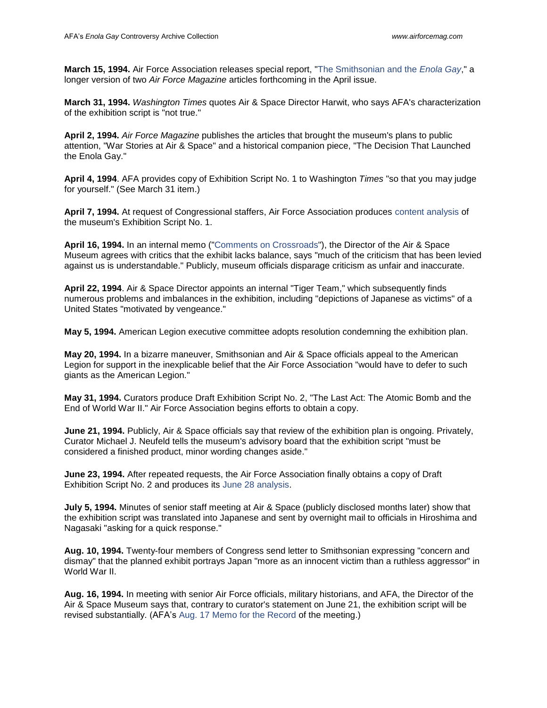**March 15, 1994.** Air Force Association releases special report, ["The Smithsonian and the](http://www.airforcemag.com/SiteCollectionDocuments/Enola%20Gay%20Archive/031594specialrpt.pdf) *Enola Gay*," a longer version of two *Air Force Magazine* articles forthcoming in the April issue.

**March 31, 1994.** *Washington Times* quotes Air & Space Director Harwit, who says AFA's characterization of the exhibition script is "not true."

**April 2, 1994.** *Air Force Magazine* publishes the articles that brought the museum's plans to public attention, "War Stories at Air & Space" and a historical companion piece, "The Decision That Launched the Enola Gay."

**April 4, 1994**. AFA provides copy of Exhibition Script No. 1 to Washington *Times* "so that you may judge for yourself." (See March 31 item.)

**April 7, 1994.** At request of Congressional staffers, Air Force Association produces [content analysis](http://www.airforcemag.com/SiteCollectionDocuments/Enola%20Gay%20Archive/040794ContentAnalysisMemo.pdf) of the museum's Exhibition Script No. 1.

**April 16, 1994.** In an internal memo (["Comments on Crossroads"](http://www.airforcemag.com/SiteCollectionDocuments/Enola%20Gay%20Archive/041694HarwitComments.pdf)), the Director of the Air & Space Museum agrees with critics that the exhibit lacks balance, says "much of the criticism that has been levied against us is understandable." Publicly, museum officials disparage criticism as unfair and inaccurate.

**April 22, 1994**. Air & Space Director appoints an internal "Tiger Team," which subsequently finds numerous problems and imbalances in the exhibition, including "depictions of Japanese as victims" of a United States "motivated by vengeance."

**May 5, 1994.** American Legion executive committee adopts resolution condemning the exhibition plan.

**May 20, 1994.** In a bizarre maneuver, Smithsonian and Air & Space officials appeal to the American Legion for support in the inexplicable belief that the Air Force Association "would have to defer to such giants as the American Legion."

**May 31, 1994.** Curators produce Draft Exhibition Script No. 2, "The Last Act: The Atomic Bomb and the End of World War II." Air Force Association begins efforts to obtain a copy.

**June 21, 1994.** Publicly, Air & Space officials say that review of the exhibition plan is ongoing. Privately, Curator Michael J. Neufeld tells the museum's advisory board that the exhibition script "must be considered a finished product, minor wording changes aside."

**June 23, 1994.** After repeated requests, the Air Force Association finally obtains a copy of Draft Exhibition Script No. 2 and produces its [June 28 analysis.](http://www.airforcemag.com/SiteCollectionDocuments/Enola%20Gay%20Archive/062894ContentAnalysis.pdf)

**July 5, 1994.** Minutes of senior staff meeting at Air & Space (publicly disclosed months later) show that the exhibition script was translated into Japanese and sent by overnight mail to officials in Hiroshima and Nagasaki "asking for a quick response."

**Aug. 10, 1994.** Twenty-four members of Congress send letter to Smithsonian expressing "concern and dismay" that the planned exhibit portrays Japan "more as an innocent victim than a ruthless aggressor" in World War II.

**Aug. 16, 1994.** In meeting with senior Air Force officials, military historians, and AFA, the Director of the Air & Space Museum says that, contrary to curator's statement on June 21, the exhibition script will be revised substantially. (AFA's [Aug. 17 Memo for the Record](http://www.airforcemag.com/SiteCollectionDocuments/Enola%20Gay%20Archive/081794recordmemo.pdf) of the meeting.)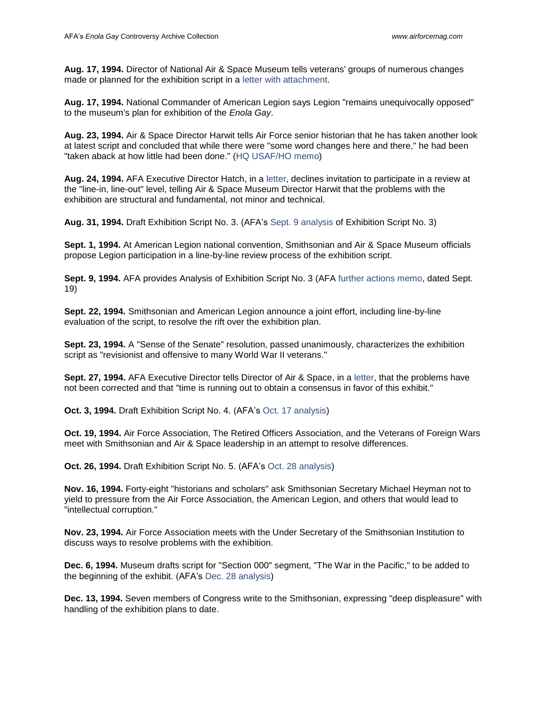**Aug. 17, 1994.** Director of National Air & Space Museum tells veterans' groups of numerous changes made or planned for the exhibition script in a [letter with attachment.](http://www.airforcemag.com/SiteCollectionDocuments/Enola%20Gay%20Archive/081794HarwitLtr.pdf)

**Aug. 17, 1994.** National Commander of American Legion says Legion "remains unequivocally opposed" to the museum's plan for exhibition of the *Enola Gay*.

**Aug. 23, 1994.** Air & Space Director Harwit tells Air Force senior historian that he has taken another look at latest script and concluded that while there were "some word changes here and there," he had been "taken aback at how little had been done." [\(HQ USAF/HO memo\)](http://www.airforcemag.com/SiteCollectionDocuments/Enola%20Gay%20Archive/082394WolkLtr.pdf)

**Aug. 24, 1994.** AFA Executive Director Hatch, in a [letter,](http://www.airforce-magazine.com/SiteCollectionDocuments/Enola%20Gay%20Archive/082494HatchLtr.pdf) declines invitation to participate in a review at the "line-in, line-out" level, telling Air & Space Museum Director Harwit that the problems with the exhibition are structural and fundamental, not minor and technical.

**Aug. 31, 1994.** Draft Exhibition Script No. 3. (AFA's [Sept. 9 analysis](http://www.airforcemag.com/SiteCollectionDocuments/Enola%20Gay%20Archive/090994ContentAnalysis.pdf) of Exhibition Script No. 3)

**Sept. 1, 1994.** At American Legion national convention, Smithsonian and Air & Space Museum officials propose Legion participation in a line-by-line review process of the exhibition script.

**Sept. 9, 1994.** AFA provides Analysis of Exhibition Script No. 3 (AFA [further actions memo,](http://www.airforcemag.com/SiteCollectionDocuments/Enola%20Gay%20Archive/091994furtheractionsmemo.pdf) dated Sept. 19)

**Sept. 22, 1994.** Smithsonian and American Legion announce a joint effort, including line-by-line evaluation of the script, to resolve the rift over the exhibition plan.

**Sept. 23, 1994.** A "Sense of the Senate" resolution, passed unanimously, characterizes the exhibition script as "revisionist and offensive to many World War II veterans."

**Sept. 27, 1994.** AFA Executive Director tells Director of Air & Space, in a [letter,](http://www.airforcemag.com/SiteCollectionDocuments/Enola%20Gay%20Archive/092794HatchLtr.pdf) that the problems have not been corrected and that "time is running out to obtain a consensus in favor of this exhibit."

**Oct. 3, 1994.** Draft Exhibition Script No. 4. (AFA's [Oct. 17 analysis\)](http://www.airforcemag.com/SiteCollectionDocuments/Enola%20Gay%20Archive/101794ContentAnalysis.pdf)

**Oct. 19, 1994.** Air Force Association, The Retired Officers Association, and the Veterans of Foreign Wars meet with Smithsonian and Air & Space leadership in an attempt to resolve differences.

**Oct. 26, 1994.** Draft Exhibition Script No. 5. (AFA's [Oct. 28 analysis\)](http://www.airforcemag.com/SiteCollectionDocuments/Enola%20Gay%20Archive/102894ContentAnalysis.pdf)

**Nov. 16, 1994.** Forty-eight "historians and scholars" ask Smithsonian Secretary Michael Heyman not to yield to pressure from the Air Force Association, the American Legion, and others that would lead to "intellectual corruption."

**Nov. 23, 1994.** Air Force Association meets with the Under Secretary of the Smithsonian Institution to discuss ways to resolve problems with the exhibition.

**Dec. 6, 1994.** Museum drafts script for "Section 000" segment, "The War in the Pacific," to be added to the beginning of the exhibit. (AFA's [Dec. 28 analysis\)](http://www.airforcemag.com/SiteCollectionDocuments/Enola%20Gay%20Archive/122894LtrtoCo-curator.pdf)

**Dec. 13, 1994.** Seven members of Congress write to the Smithsonian, expressing "deep displeasure" with handling of the exhibition plans to date.